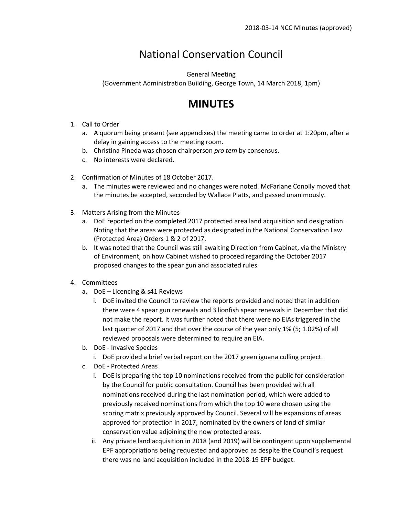# National Conservation Council

General Meeting

(Government Administration Building, George Town, 14 March 2018, 1pm)

## **MINUTES**

- 1. Call to Order
	- a. A quorum being present (see appendixes) the meeting came to order at 1:20pm, after a delay in gaining access to the meeting room.
	- b. Christina Pineda was chosen chairperson *pro tem* by consensus.
	- c. No interests were declared.
- 2. Confirmation of Minutes of 18 October 2017.
	- a. The minutes were reviewed and no changes were noted. McFarlane Conolly moved that the minutes be accepted, seconded by Wallace Platts, and passed unanimously.
- 3. Matters Arising from the Minutes
	- a. DoE reported on the completed 2017 protected area land acquisition and designation. Noting that the areas were protected as designated in the National Conservation Law (Protected Area) Orders 1 & 2 of 2017.
	- b. It was noted that the Council was still awaiting Direction from Cabinet, via the Ministry of Environment, on how Cabinet wished to proceed regarding the October 2017 proposed changes to the spear gun and associated rules.
- 4. Committees
	- a. DoE Licencing & s41 Reviews
		- i. DoE invited the Council to review the reports provided and noted that in addition there were 4 spear gun renewals and 3 lionfish spear renewals in December that did not make the report. It was further noted that there were no EIAs triggered in the last quarter of 2017 and that over the course of the year only 1% (5; 1.02%) of all reviewed proposals were determined to require an EIA.
	- b. DoE Invasive Species
		- i. DoE provided a brief verbal report on the 2017 green iguana culling project.
	- c. DoE Protected Areas
		- i. DoE is preparing the top 10 nominations received from the public for consideration by the Council for public consultation. Council has been provided with all nominations received during the last nomination period, which were added to previously received nominations from which the top 10 were chosen using the scoring matrix previously approved by Council. Several will be expansions of areas approved for protection in 2017, nominated by the owners of land of similar conservation value adjoining the now protected areas.
		- ii. Any private land acquisition in 2018 (and 2019) will be contingent upon supplemental EPF appropriations being requested and approved as despite the Council's request there was no land acquisition included in the 2018-19 EPF budget.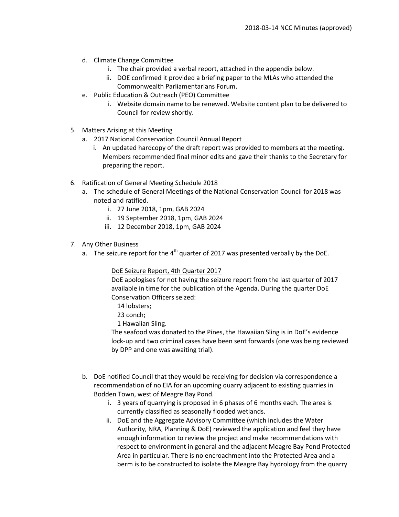- d. Climate Change Committee
	- i. The chair provided a verbal report, attached in the appendix below.
	- ii. DOE confirmed it provided a briefing paper to the MLAs who attended the Commonwealth Parliamentarians Forum.
- e. Public Education & Outreach (PEO) Committee
	- i. Website domain name to be renewed. Website content plan to be delivered to Council for review shortly.
- 5. Matters Arising at this Meeting
	- a. 2017 National Conservation Council Annual Report
		- i. An updated hardcopy of the draft report was provided to members at the meeting. Members recommended final minor edits and gave their thanks to the Secretary for preparing the report.
- 6. Ratification of General Meeting Schedule 2018
	- a. The schedule of General Meetings of the National Conservation Council for 2018 was noted and ratified.
		- i. 27 June 2018, 1pm, GAB 2024
		- ii. 19 September 2018, 1pm, GAB 2024
		- iii. 12 December 2018, 1pm, GAB 2024
- 7. Any Other Business
	- a. The seizure report for the  $4<sup>th</sup>$  quarter of 2017 was presented verbally by the DoE.

### DoE Seizure Report, 4th Quarter 2017

DoE apologises for not having the seizure report from the last quarter of 2017 available in time for the publication of the Agenda. During the quarter DoE Conservation Officers seized:

14 lobsters;

- 23 conch;
- 1 Hawaiian Sling.

The seafood was donated to the Pines, the Hawaiian Sling is in DoE's evidence lock-up and two criminal cases have been sent forwards (one was being reviewed by DPP and one was awaiting trial).

- b. DoE notified Council that they would be receiving for decision via correspondence a recommendation of no EIA for an upcoming quarry adjacent to existing quarries in Bodden Town, west of Meagre Bay Pond.
	- i. 3 years of quarrying is proposed in 6 phases of 6 months each. The area is currently classified as seasonally flooded wetlands.
	- ii. DoE and the Aggregate Advisory Committee (which includes the Water Authority, NRA, Planning & DoE) reviewed the application and feel they have enough information to review the project and make recommendations with respect to environment in general and the adjacent Meagre Bay Pond Protected Area in particular. There is no encroachment into the Protected Area and a berm is to be constructed to isolate the Meagre Bay hydrology from the quarry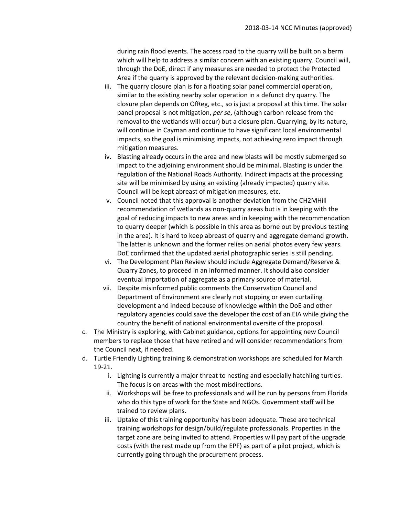during rain flood events. The access road to the quarry will be built on a berm which will help to address a similar concern with an existing quarry. Council will, through the DoE, direct if any measures are needed to protect the Protected Area if the quarry is approved by the relevant decision-making authorities.

- iii. The quarry closure plan is for a floating solar panel commercial operation, similar to the existing nearby solar operation in a defunct dry quarry. The closure plan depends on OfReg, etc., so is just a proposal at this time. The solar panel proposal is not mitigation, *per se*, (although carbon release from the removal to the wetlands will occur) but a closure plan. Quarrying, by its nature, will continue in Cayman and continue to have significant local environmental impacts, so the goal is minimising impacts, not achieving zero impact through mitigation measures.
- iv. Blasting already occurs in the area and new blasts will be mostly submerged so impact to the adjoining environment should be minimal. Blasting is under the regulation of the National Roads Authority. Indirect impacts at the processing site will be minimised by using an existing (already impacted) quarry site. Council will be kept abreast of mitigation measures, etc.
- v. Council noted that this approval is another deviation from the CH2MHill recommendation of wetlands as non-quarry areas but is in keeping with the goal of reducing impacts to new areas and in keeping with the recommendation to quarry deeper (which is possible in this area as borne out by previous testing in the area). It is hard to keep abreast of quarry and aggregate demand growth. The latter is unknown and the former relies on aerial photos every few years. DoE confirmed that the updated aerial photographic series is still pending.
- vi. The Development Plan Review should include Aggregate Demand/Reserve & Quarry Zones, to proceed in an informed manner. It should also consider eventual importation of aggregate as a primary source of material.
- vii. Despite misinformed public comments the Conservation Council and Department of Environment are clearly not stopping or even curtailing development and indeed because of knowledge within the DoE and other regulatory agencies could save the developer the cost of an EIA while giving the country the benefit of national environmental oversite of the proposal.
- c. The Ministry is exploring, with Cabinet guidance, options for appointing new Council members to replace those that have retired and will consider recommendations from the Council next, if needed.
- d. Turtle Friendly Lighting training & demonstration workshops are scheduled for March 19-21.
	- i. Lighting is currently a major threat to nesting and especially hatchling turtles. The focus is on areas with the most misdirections.
	- ii. Workshops will be free to professionals and will be run by persons from Florida who do this type of work for the State and NGOs. Government staff will be trained to review plans.
	- iii. Uptake of this training opportunity has been adequate. These are technical training workshops for design/build/regulate professionals. Properties in the target zone are being invited to attend. Properties will pay part of the upgrade costs (with the rest made up from the EPF) as part of a pilot project, which is currently going through the procurement process.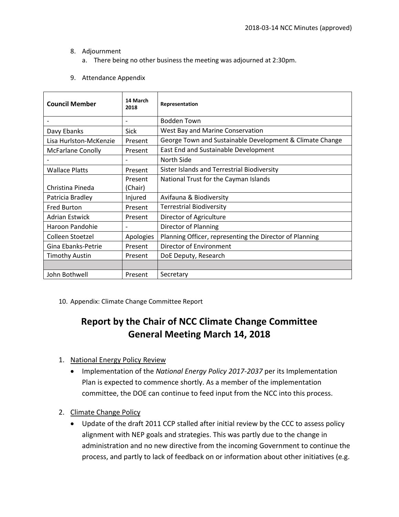- 8. Adjournment
	- a. There being no other business the meeting was adjourned at 2:30pm.
- 9. Attendance Appendix

| <b>Council Member</b>    | 14 March<br>2018         | Representation                                           |
|--------------------------|--------------------------|----------------------------------------------------------|
|                          | $\overline{\phantom{0}}$ | Bodden Town                                              |
| Davy Ebanks              | Sick                     | West Bay and Marine Conservation                         |
| Lisa Hurlston-McKenzie   | Present                  | George Town and Sustainable Development & Climate Change |
| <b>McFarlane Conolly</b> | Present                  | East End and Sustainable Development                     |
|                          |                          | North Side                                               |
| <b>Wallace Platts</b>    | Present                  | Sister Islands and Terrestrial Biodiversity              |
|                          | Present                  | National Trust for the Cayman Islands                    |
| Christina Pineda         | (Chair)                  |                                                          |
| Patricia Bradley         | Injured                  | Avifauna & Biodiversity                                  |
| <b>Fred Burton</b>       | Present                  | <b>Terrestrial Biodiversity</b>                          |
| <b>Adrian Estwick</b>    | Present                  | Director of Agriculture                                  |
| Haroon Pandohie          |                          | Director of Planning                                     |
| Colleen Stoetzel         | Apologies                | Planning Officer, representing the Director of Planning  |
| Gina Ebanks-Petrie       | Present                  | Director of Environment                                  |
| <b>Timothy Austin</b>    | Present                  | DoE Deputy, Research                                     |
|                          |                          |                                                          |
| John Bothwell            | Present                  | Secretary                                                |

10. Appendix: Climate Change Committee Report

### **Report by the Chair of NCC Climate Change Committee General Meeting March 14, 2018**

- 1. National Energy Policy Review
	- Implementation of the *National Energy Policy 2017-2037* per its Implementation Plan is expected to commence shortly. As a member of the implementation committee, the DOE can continue to feed input from the NCC into this process.
- 2. Climate Change Policy
	- Update of the draft 2011 CCP stalled after initial review by the CCC to assess policy alignment with NEP goals and strategies. This was partly due to the change in administration and no new directive from the incoming Government to continue the process, and partly to lack of feedback on or information about other initiatives (e.g.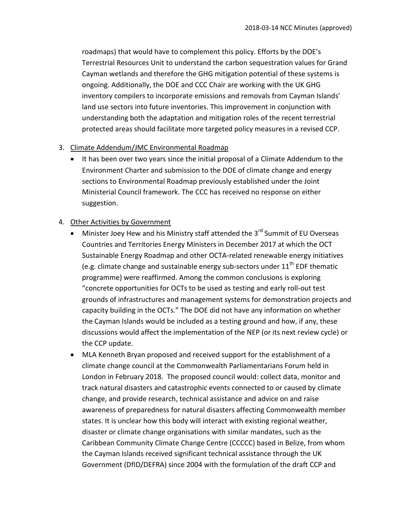roadmaps) that would have to complement this policy. Efforts by the DOE's Terrestrial Resources Unit to understand the carbon sequestration values for Grand Cayman wetlands and therefore the GHG mitigation potential of these systems is ongoing. Additionally, the DOE and CCC Chair are working with the UK GHG inventory compilers to incorporate emissions and removals from Cayman Islands' land use sectors into future inventories. This improvement in conjunction with understanding both the adaptation and mitigation roles of the recent terrestrial protected areas should facilitate more targeted policy measures in a revised CCP.

#### 3. Climate Addendum/JMC Environmental Roadmap

 It has been over two years since the initial proposal of a Climate Addendum to the Environment Charter and submission to the DOE of climate change and energy sections to Environmental Roadmap previously established under the Joint Ministerial Council framework. The CCC has received no response on either suggestion.

### 4. Other Activities by Government

- Minister Joey Hew and his Ministry staff attended the  $3^{rd}$  Summit of EU Overseas Countries and Territories Energy Ministers in December 2017 at which the OCT Sustainable Energy Roadmap and other OCTA-related renewable energy initiatives (e.g. climate change and sustainable energy sub-sectors under  $11<sup>th</sup>$  EDF thematic programme) were reaffirmed. Among the common conclusions is exploring "concrete opportunities for OCTs to be used as testing and early roll-out test grounds of infrastructures and management systems for demonstration projects and capacity building in the OCTs." The DOE did not have any information on whether the Cayman Islands would be included as a testing ground and how, if any, these discussions would affect the implementation of the NEP (or its next review cycle) or the CCP update.
- MLA Kenneth Bryan proposed and received support for the establishment of a climate change council at the Commonwealth Parliamentarians Forum held in London in February 2018. The proposed council would: collect data, monitor and track natural disasters and catastrophic events connected to or caused by climate change, and provide research, technical assistance and advice on and raise awareness of preparedness for natural disasters affecting Commonwealth member states. It is unclear how this body will interact with existing regional weather, disaster or climate change organisations with similar mandates, such as the Caribbean Community Climate Change Centre (CCCCC) based in Belize, from whom the Cayman Islands received significant technical assistance through the UK Government (DfID/DEFRA) since 2004 with the formulation of the draft CCP and